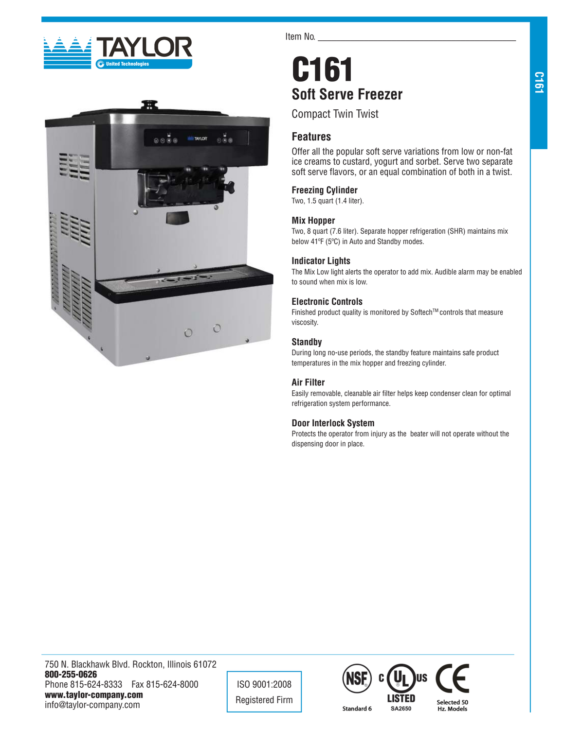



Item No.

# **C161 Soft Serve Freezer**

Compact Twin Twist

## **Features**

 Offer all the popular soft serve variations from low or non-fat ice creams to custard, yogurt and sorbet. Serve two separate soft serve flavors, or an equal combination of both in a twist.

## **Freezing Cylinder**

Two, 1.5 quart (1.4 liter).

## **Mix Hopper**

Two, 8 quart (7.6 liter). Separate hopper refrigeration (SHR) maintains mix below 41ºF (5ºC) in Auto and Standby modes.

## **Indicator Lights**

The Mix Low light alerts the operator to add mix. Audible alarm may be enabled to sound when mix is low.

## **Electronic Controls**

Finished product quality is monitored by Softech™ controls that measure viscosity.

## **Standby**

During long no-use periods, the standby feature maintains safe product temperatures in the mix hopper and freezing cylinder.

#### **Air Filter**

Easily removable, cleanable air filter helps keep condenser clean for optimal refrigeration system performance.

#### **Door Interlock System**

Protects the operator from injury as the beater will not operate without the dispensing door in place.

750 N. Blackhawk Blvd. Rockton, Illinois 61072 **800-255-0626** Phone 815-624-8333 Fax 815-624-8000 **www.taylor-company.com** info@taylor-company.com

ISO 9001:2008 Registered Firm